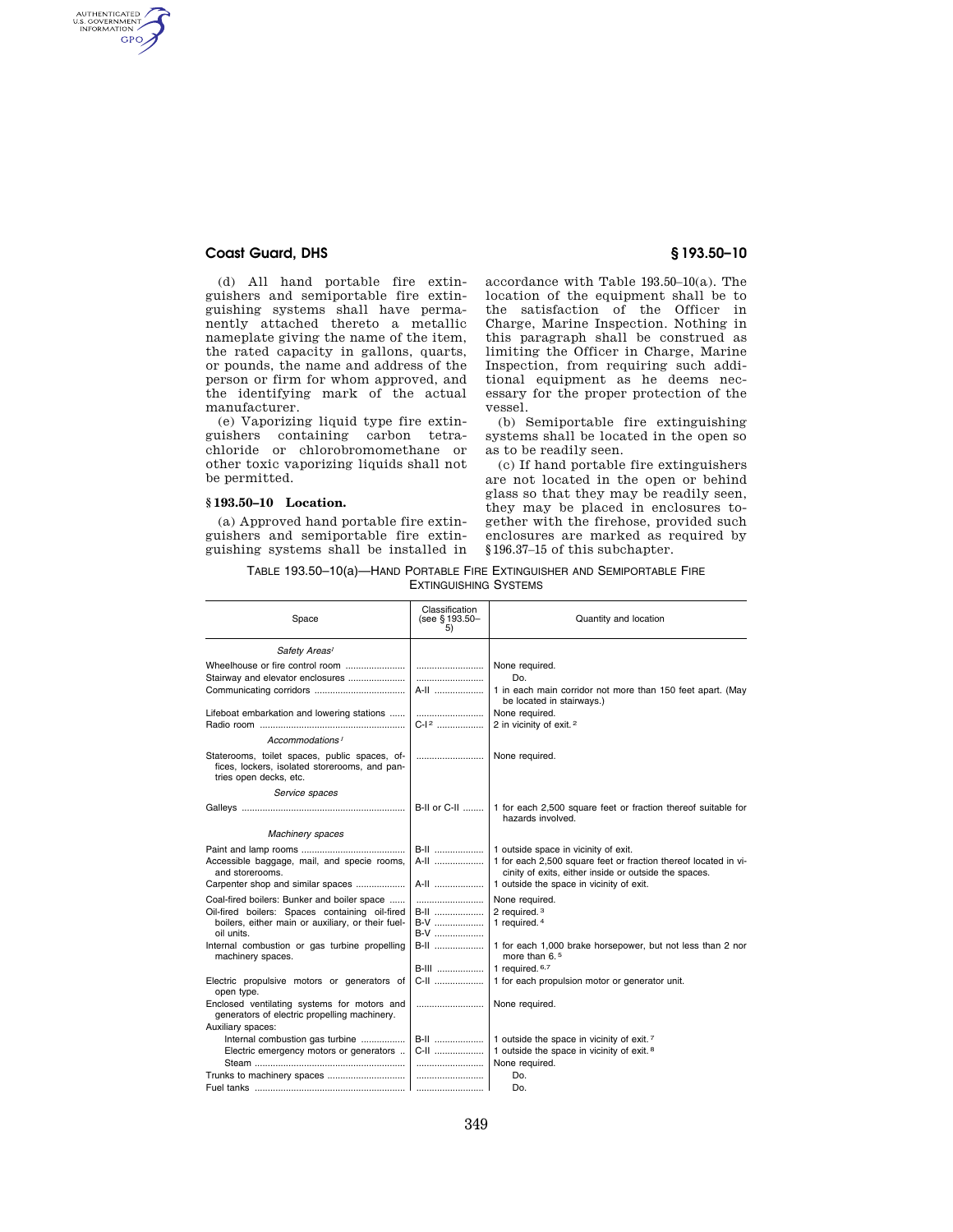## **Coast Guard, DHS § 193.50–10**

AUTHENTICATED<br>U.S. GOVERNMENT<br>INFORMATION GPO

> (d) All hand portable fire extinguishers and semiportable fire extinguishing systems shall have permanently attached thereto a metallic nameplate giving the name of the item, the rated capacity in gallons, quarts, or pounds, the name and address of the person or firm for whom approved, and the identifying mark of the actual manufacturer.

> (e) Vaporizing liquid type fire extinguishers containing carbon tetrachloride or chlorobromomethane or other toxic vaporizing liquids shall not be permitted.

### **§ 193.50–10 Location.**

(a) Approved hand portable fire extinguishers and semiportable fire extinguishing systems shall be installed in accordance with Table 193.50–10(a). The location of the equipment shall be to the satisfaction of the Officer in Charge, Marine Inspection. Nothing in this paragraph shall be construed as limiting the Officer in Charge, Marine Inspection, from requiring such additional equipment as he deems necessary for the proper protection of the vessel.

(b) Semiportable fire extinguishing systems shall be located in the open so as to be readily seen.

(c) If hand portable fire extinguishers are not located in the open or behind glass so that they may be readily seen, they may be placed in enclosures together with the firehose, provided such enclosures are marked as required by §196.37–15 of this subchapter.

TABLE 193.50–10(a)—HAND PORTABLE FIRE EXTINGUISHER AND SEMIPORTABLE FIRE EXTINGUISHING SYSTEMS

| Space                                                                                                                                                            | Classification<br>(see §193.50-<br>5)   | Quantity and location                                                                                                                                                                                        |
|------------------------------------------------------------------------------------------------------------------------------------------------------------------|-----------------------------------------|--------------------------------------------------------------------------------------------------------------------------------------------------------------------------------------------------------------|
| Safety Areas <sup>1</sup>                                                                                                                                        |                                         |                                                                                                                                                                                                              |
|                                                                                                                                                                  | A-II                                    | None required.<br>Do.<br>1 in each main corridor not more than 150 feet apart. (May<br>be located in stairways.)                                                                                             |
| Lifeboat embarkation and lowering stations                                                                                                                       | C-12                                    | None required.<br>2 in vicinity of exit. <sup>2</sup>                                                                                                                                                        |
| Accommodations <sup>1</sup>                                                                                                                                      |                                         |                                                                                                                                                                                                              |
| Staterooms, toilet spaces, public spaces, of-<br>fices, lockers, isolated storerooms, and pan-<br>tries open decks, etc.                                         |                                         | None required.                                                                                                                                                                                               |
| Service spaces                                                                                                                                                   |                                         |                                                                                                                                                                                                              |
|                                                                                                                                                                  | B-II or C-II                            | 1 for each 2,500 square feet or fraction thereof suitable for<br>hazards involved.                                                                                                                           |
| Machinery spaces                                                                                                                                                 |                                         |                                                                                                                                                                                                              |
| Accessible baggage, mail, and specie rooms,<br>and storerooms.<br>Carpenter shop and similar spaces                                                              | <b>B-II</b><br>A-II<br>A-II             | 1 outside space in vicinity of exit.<br>1 for each 2,500 square feet or fraction thereof located in vi-<br>cinity of exits, either inside or outside the spaces.<br>1 outside the space in vicinity of exit. |
|                                                                                                                                                                  |                                         |                                                                                                                                                                                                              |
| Coal-fired boilers: Bunker and boiler space<br>Oil-fired boilers: Spaces containing oil-fired<br>boilers, either main or auxiliary, or their fuel-<br>oil units. | <b>B-II</b><br><b>B-V</b><br><b>B-V</b> | None required.<br>2 required. 3<br>1 required. 4                                                                                                                                                             |
| Internal combustion or gas turbine propelling<br>machinery spaces.                                                                                               | B-II<br><b>B-III</b>                    | 1 for each 1,000 brake horsepower, but not less than 2 nor<br>more than $6.5$<br>1 required. $6,7$                                                                                                           |
| Electric propulsive motors or generators of<br>open type.                                                                                                        | C-II                                    | 1 for each propulsion motor or generator unit.                                                                                                                                                               |
| Enclosed ventilating systems for motors and<br>generators of electric propelling machinery.                                                                      |                                         | None required.                                                                                                                                                                                               |
| Auxiliary spaces:<br>Internal combustion gas turbine                                                                                                             | <b>B-II</b>                             | 1 outside the space in vicinity of exit. <sup>7</sup>                                                                                                                                                        |
| Electric emergency motors or generators                                                                                                                          | C-II                                    | 1 outside the space in vicinity of exit. <sup>8</sup>                                                                                                                                                        |
|                                                                                                                                                                  |                                         | None required.                                                                                                                                                                                               |
|                                                                                                                                                                  |                                         | Do.                                                                                                                                                                                                          |
|                                                                                                                                                                  |                                         | Do.                                                                                                                                                                                                          |